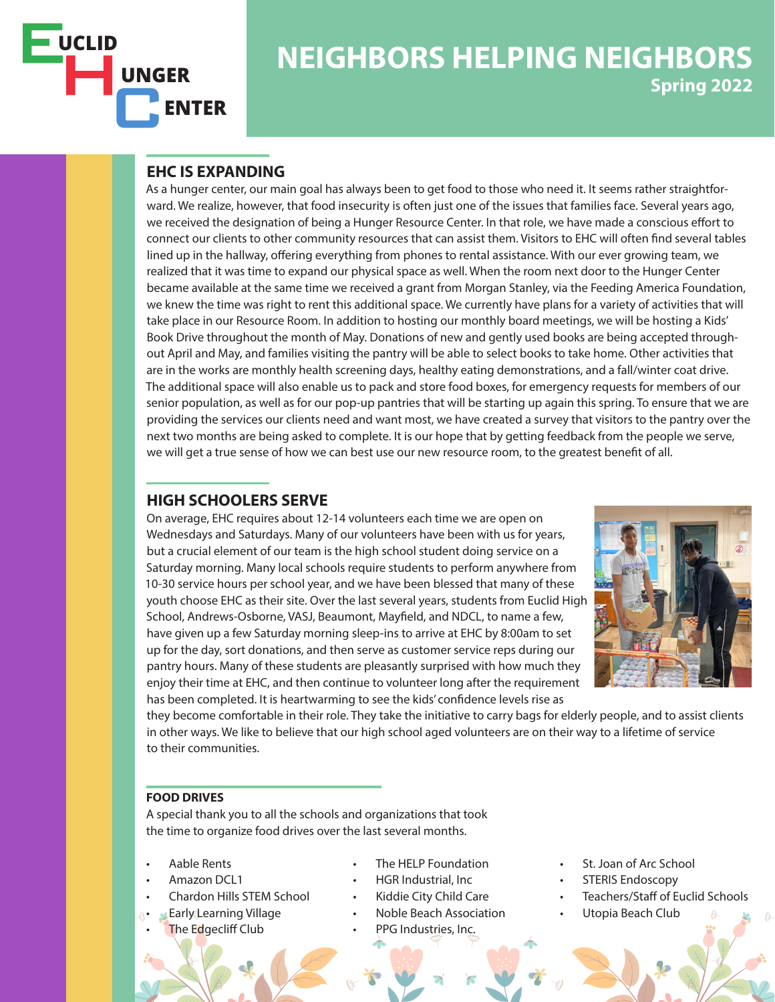

# **NEIGHBORS HELPING NEIGHBORS Spring 2022**

## **EHC IS EXPANDING**

As a hunger center, our main goal has always been to get food to those who need it. It seems rather straightforward. We realize, however, that food insecurity is often just one of the issues that families face. Several years ago, we received the designation of being a Hunger Resource Center. In that role, we have made a conscious effort to connect our clients to other community resources that can assist them. Visitors to EHC will often find several tables lined up in the hallway, offering everything from phones to rental assistance. With our ever growing team, we realized that it was time to expand our physical space as well. When the room next door to the Hunger Center became available at the same time we received a grant from Morgan Stanley, via the Feeding America Foundation, we knew the time was right to rent this additional space. We currently have plans for a variety of activities that will take place in our Resource Room. In addition to hosting our monthly board meetings, we will be hosting a Kids' Book Drive throughout the month of May. Donations of new and gently used books are being accepted throughout April and May, and families visiting the pantry will be able to select books to take home. Other activities that are in the works are monthly health screening days, healthy eating demonstrations, and a fall/winter coat drive. The additional space will also enable us to pack and store food boxes, for emergency requests for members of our senior population, as well as for our pop-up pantries that will be starting up again this spring. To ensure that we are providing the services our clients need and want most, we have created a survey that visitors to the pantry over the next two months are being asked to complete. It is our hope that by getting feedback from the people we serve, we will get a true sense of how we can best use our new resource room, to the greatest benefit of all.

## **HIGH SCHOOLERS SERVE**

On average, EHC requires about 12-14 volunteers each time we are open on Wednesdays and Saturdays. Many of our volunteers have been with us for years, but a crucial element of our team is the high school student doing service on a Saturday morning. Many local schools require students to perform anywhere from 10-30 service hours per school year, and we have been blessed that many of these youth choose EHC as their site. Over the last several years, students from Euclid High School, Andrews-Osborne, VASJ, Beaumont, Mayfield, and NDCL, to name a few, have given up a few Saturday morning sleep-ins to arrive at EHC by 8:00am to set up for the day, sort donations, and then serve as customer service reps during our pantry hours. Many of these students are pleasantly surprised with how much they enjoy their time at EHC, and then continue to volunteer long after the requirement has been completed. It is heartwarming to see the kids' confidence levels rise as



they become comfortable in their role. They take the initiative to carry bags for elderly people, and to assist clients in other ways. We like to believe that our high school aged volunteers are on their way to a lifetime of service to their communities.

### **FOOD DRIVES**

A special thank you to all the schools and organizations that took the time to organize food drives over the last several months.

- Aable Rents
- Amazon DCL1
- Chardon Hills STEM School
- Early Learning Village
- The Edgecliff Club
- The HELP Foundation
- HGR Industrial, Inc
- Kiddie City Child Care
- Noble Beach Association
	- PPG Industries, Inc.
- St. Joan of Arc School
- STERIS Endoscopy
- Teachers/Staff of Euclid Schools
- Utopia Beach Club